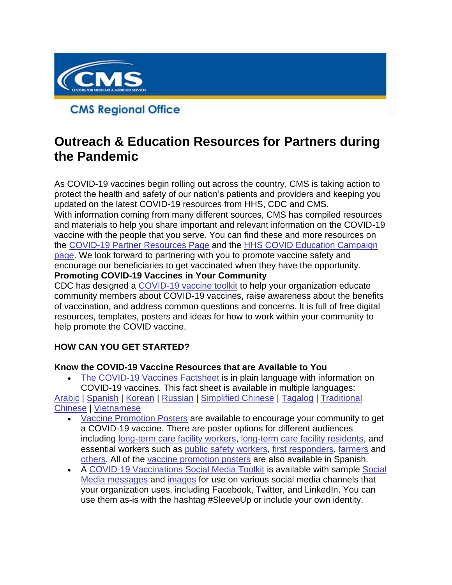

**CMS Regional Office** 

# **Outreach & Education Resources for Partners during the Pandemic**

As COVID-19 vaccines begin rolling out across the country, CMS is taking action to protect the health and safety of our nation's patients and providers and keeping you updated on the latest COVID-19 resources from HHS, CDC and CMS. With information coming from many different sources, CMS has compiled resources and materials to help you share important and relevant information on the COVID-19 vaccine with the people that you serve. You can find these and more resources on the [COVID-19 Partner Resources Page](https://lnks.gd/l/eyJhbGciOiJIUzI1NiJ9.eyJidWxsZXRpbl9saW5rX2lkIjoxMDAsInVyaSI6ImJwMjpjbGljayIsImJ1bGxldGluX2lkIjoiMjAyMTAzMDEuMzYxMTcwMzEiLCJ1cmwiOiJodHRwczovL3d3dy5jbXMuZ292L291dHJlYWNoLWVkdWNhdGlvbi9wYXJ0bmVyLXJlc291cmNlcy9jb3JvbmF2aXJ1cy1jb3ZpZC0xOS1wYXJ0bmVyLXRvb2xraXQifQ.af2sT48gCGNyyFQpIyzQivHkSAHAQeIM6_GmK_1RBIY/s/1086872215/br/98479374872-l) and the [HHS COVID Education Campaign](https://lnks.gd/l/eyJhbGciOiJIUzI1NiJ9.eyJidWxsZXRpbl9saW5rX2lkIjoxMDEsInVyaSI6ImJwMjpjbGljayIsImJ1bGxldGluX2lkIjoiMjAyMTAzMDEuMzYxMTcwMzEiLCJ1cmwiOiJodHRwczovL3d3dy5oaHMuZ292L2Nvcm9uYXZpcnVzL2VkdWNhdGlvbi1jYW1wYWlnbiJ9.ybQCFfZdQ1H83GHxqM2jnidxDoEQsU0KxtfsjtwzhRU/s/1086872215/br/98479374872-l)  [page.](https://lnks.gd/l/eyJhbGciOiJIUzI1NiJ9.eyJidWxsZXRpbl9saW5rX2lkIjoxMDEsInVyaSI6ImJwMjpjbGljayIsImJ1bGxldGluX2lkIjoiMjAyMTAzMDEuMzYxMTcwMzEiLCJ1cmwiOiJodHRwczovL3d3dy5oaHMuZ292L2Nvcm9uYXZpcnVzL2VkdWNhdGlvbi1jYW1wYWlnbiJ9.ybQCFfZdQ1H83GHxqM2jnidxDoEQsU0KxtfsjtwzhRU/s/1086872215/br/98479374872-l) We look forward to partnering with you to promote vaccine safety and encourage our beneficiaries to get vaccinated when they have the opportunity. **Promoting COVID-19 Vaccines in Your Community**

CDC has designed a [COVID-19 vaccine toolkit](https://lnks.gd/l/eyJhbGciOiJIUzI1NiJ9.eyJidWxsZXRpbl9saW5rX2lkIjoxMDIsInVyaSI6ImJwMjpjbGljayIsImJ1bGxldGluX2lkIjoiMjAyMTAzMDEuMzYxMTcwMzEiLCJ1cmwiOiJodHRwczovL3d3dy5jZGMuZ292L2Nvcm9uYXZpcnVzLzIwMTktbmNvdi92YWNjaW5lcy90b29sa2l0cy9jb21tdW5pdHktb3JnYW5pemF0aW9uLmh0bWwifQ.5yJx69mHEKPzUidK0e7BbB4fZ9k2YlPO19secNoUSE0/s/1086872215/br/98479374872-l) to help your organization educate community members about COVID-19 vaccines, raise awareness about the benefits of vaccination, and address common questions and concerns. It is full of free digital resources, templates, posters and ideas for how to work within your community to help promote the COVID vaccine.

# **HOW CAN YOU GET STARTED?**

#### **Know the COVID-19 Vaccine Resources that are Available to You**

• [The COVID-19 Vaccines Factsheet](https://lnks.gd/l/eyJhbGciOiJIUzI1NiJ9.eyJidWxsZXRpbl9saW5rX2lkIjoxMDMsInVyaSI6ImJwMjpjbGljayIsImJ1bGxldGluX2lkIjoiMjAyMTAzMDEuMzYxMTcwMzEiLCJ1cmwiOiJodHRwczovL3d3dy5jZGMuZ292L2Nvcm9uYXZpcnVzLzIwMTktbmNvdi9jb21tdW5pY2F0aW9uL3ByaW50LXJlc291cmNlcy5odG1sP1NvcnQ9RGF0ZSUzQSUzQWRlc2MmU2VhcmNoPUZhY3RzJkF1ZGllbmNlPUdlbmVyYWwlMjBQdWJsaWMmVG9waWNzPVZhY2NpbmVzIn0.PwQw4mWseVgigHEnJl2HFs5AO3pPKnJRNjEFSmGcp5g/s/1086872215/br/98479374872-l) is in plain language with information on COVID-19 vaccines. This fact sheet is available in multiple languages:

[Arabic](https://lnks.gd/l/eyJhbGciOiJIUzI1NiJ9.eyJidWxsZXRpbl9saW5rX2lkIjoxMDQsInVyaSI6ImJwMjpjbGljayIsImJ1bGxldGluX2lkIjoiMjAyMTAzMDEuMzYxMTcwMzEiLCJ1cmwiOiJodHRwczovL3d3dy5jZGMuZ292L2Nvcm9uYXZpcnVzLzIwMTktbmNvdi92YWNjaW5lcy9wZGZzL2ZhY3Qtc2hlZXQtYWJvdXQtY292aWQtMTktdmFjY2luZXMtMV9BcmFiaWMucGRmIn0.W2-HsocXfY0DGWjNrkqoaTaQT6Wrv2K4aG6D2czQHEA/s/1086872215/br/98479374872-l) | [Spanish](https://lnks.gd/l/eyJhbGciOiJIUzI1NiJ9.eyJidWxsZXRpbl9saW5rX2lkIjoxMDUsInVyaSI6ImJwMjpjbGljayIsImJ1bGxldGluX2lkIjoiMjAyMTAzMDEuMzYxMTcwMzEiLCJ1cmwiOiJodHRwczovL3d3dy5jZGMuZ292L2Nvcm9uYXZpcnVzLzIwMTktbmNvdi9kb3dubG9hZHMvdmFjY2luZXMvZmFjdHMtY292aWQtdmFjY2luZXMtc3BhbmlzaC01MDgucGRmIn0.cmm5_GaD9nEBgfiuU-wD6Rw344XN2QWWgGgQ80vxsgE/s/1086872215/br/98479374872-l) | [Korean](https://lnks.gd/l/eyJhbGciOiJIUzI1NiJ9.eyJidWxsZXRpbl9saW5rX2lkIjoxMDYsInVyaSI6ImJwMjpjbGljayIsImJ1bGxldGluX2lkIjoiMjAyMTAzMDEuMzYxMTcwMzEiLCJ1cmwiOiJodHRwczovL3d3dy5jZGMuZ292L2Nvcm9uYXZpcnVzLzIwMTktbmNvdi92YWNjaW5lcy9wZGZzL2ZhY3Qtc2hlZXQtYWJvdXQtY292aWQtMTktdmFjY2luZXMtMV9Lb3JlYW4ucGRmIn0.FbA0y84NEyybRPu9EojzA_moQDbZGoyqLGWE9XSI6DY/s/1086872215/br/98479374872-l) | [Russian](https://lnks.gd/l/eyJhbGciOiJIUzI1NiJ9.eyJidWxsZXRpbl9saW5rX2lkIjoxMDcsInVyaSI6ImJwMjpjbGljayIsImJ1bGxldGluX2lkIjoiMjAyMTAzMDEuMzYxMTcwMzEiLCJ1cmwiOiJodHRwczovL3d3dy5jZGMuZ292L2Nvcm9uYXZpcnVzLzIwMTktbmNvdi92YWNjaW5lcy9wZGZzL2ZhY3Qtc2hlZXQtYWJvdXQtY292aWQtMTktdmFjY2luZXMtMV9SdXNzaWFuLnBkZiJ9.q2XOnNUTkQojHz7Z7ojH_EjqYDfpGT6MXrikLD83Cvs/s/1086872215/br/98479374872-l) | [Simplified Chinese](https://lnks.gd/l/eyJhbGciOiJIUzI1NiJ9.eyJidWxsZXRpbl9saW5rX2lkIjoxMDgsInVyaSI6ImJwMjpjbGljayIsImJ1bGxldGluX2lkIjoiMjAyMTAzMDEuMzYxMTcwMzEiLCJ1cmwiOiJodHRwczovL3d3dy5jZGMuZ292L2Nvcm9uYXZpcnVzLzIwMTktbmNvdi92YWNjaW5lcy9wZGZzL2ZhY3Qtc2hlZXQtYWJvdXQtY292aWQtMTktdmFjY2luZXMtMV9TaW1wbGlmaWVkLUNoaW5lc2UucGRmIn0.sDqeioNzz99RkW19glKHllE8HNasDOHf6RgOr7IyBGQ/s/1086872215/br/98479374872-l) | [Tagalog](https://lnks.gd/l/eyJhbGciOiJIUzI1NiJ9.eyJidWxsZXRpbl9saW5rX2lkIjoxMDksInVyaSI6ImJwMjpjbGljayIsImJ1bGxldGluX2lkIjoiMjAyMTAzMDEuMzYxMTcwMzEiLCJ1cmwiOiJodHRwczovL3d3dy5jZGMuZ292L2Nvcm9uYXZpcnVzLzIwMTktbmNvdi92YWNjaW5lcy9wZGZzL2ZhY3Qtc2hlZXQtYWJvdXQtY292aWQtMTktdmFjY2luZXMtMV9UYWdhbG9nLnBkZiJ9.1DwiOZkJoTR0rxiIwjxiCNPd7KJ3gFV6l1G7QSLEA0U/s/1086872215/br/98479374872-l) | [Traditional](https://lnks.gd/l/eyJhbGciOiJIUzI1NiJ9.eyJidWxsZXRpbl9saW5rX2lkIjoxMTAsInVyaSI6ImJwMjpjbGljayIsImJ1bGxldGluX2lkIjoiMjAyMTAzMDEuMzYxMTcwMzEiLCJ1cmwiOiJodHRwczovL3d3dy5jZGMuZ292L2Nvcm9uYXZpcnVzLzIwMTktbmNvdi92YWNjaW5lcy9wZGZzL2ZhY3Qtc2hlZXQtYWJvdXQtY292aWQtMTktdmFjY2luZXMtMV9UcmFkaXRpb25hbC1DaGluZXNlLnBkZiJ9.o8dF_Uk14fkmqah_Td_BDzK17e7Rm7z0OvqYIvh3Ly4/s/1086872215/br/98479374872-l)  [Chinese](https://lnks.gd/l/eyJhbGciOiJIUzI1NiJ9.eyJidWxsZXRpbl9saW5rX2lkIjoxMTAsInVyaSI6ImJwMjpjbGljayIsImJ1bGxldGluX2lkIjoiMjAyMTAzMDEuMzYxMTcwMzEiLCJ1cmwiOiJodHRwczovL3d3dy5jZGMuZ292L2Nvcm9uYXZpcnVzLzIwMTktbmNvdi92YWNjaW5lcy9wZGZzL2ZhY3Qtc2hlZXQtYWJvdXQtY292aWQtMTktdmFjY2luZXMtMV9UcmFkaXRpb25hbC1DaGluZXNlLnBkZiJ9.o8dF_Uk14fkmqah_Td_BDzK17e7Rm7z0OvqYIvh3Ly4/s/1086872215/br/98479374872-l) | [Vietnamese](https://lnks.gd/l/eyJhbGciOiJIUzI1NiJ9.eyJidWxsZXRpbl9saW5rX2lkIjoxMTEsInVyaSI6ImJwMjpjbGljayIsImJ1bGxldGluX2lkIjoiMjAyMTAzMDEuMzYxMTcwMzEiLCJ1cmwiOiJodHRwczovL3d3dy5jZGMuZ292L2Nvcm9uYXZpcnVzLzIwMTktbmNvdi92YWNjaW5lcy9wZGZzL2ZhY3Qtc2hlZXQtYWJvdXQtY292aWQtMTktdmFjY2luZXMtMV9WaWV0bmFtZXNlLnBkZiJ9.a3DjPxs1t3LF41xZ8iVY03qcs6llNrJFcHWLT2S8oEE/s/1086872215/br/98479374872-l)

- [Vaccine Promotion Posters](https://lnks.gd/l/eyJhbGciOiJIUzI1NiJ9.eyJidWxsZXRpbl9saW5rX2lkIjoxMTIsInVyaSI6ImJwMjpjbGljayIsImJ1bGxldGluX2lkIjoiMjAyMTAzMDEuMzYxMTcwMzEiLCJ1cmwiOiJodHRwczovL3d3dy5jZGMuZ292L2Nvcm9uYXZpcnVzLzIwMTktbmNvdi9jb21tdW5pY2F0aW9uL3ByaW50LXJlc291cmNlcy5odG1sP1NlYXJjaD1wb3N0ZXImVG9waWNzPVZhY2NpbmVzIn0.J2Aq1wDR3XPZ2FHZpPQROv5hxRhlcGTU60yBw5s3-8w/s/1086872215/br/98479374872-l) are available to encourage your community to get a COVID-19 vaccine. There are poster options for different audiences including [long-term care facility workers,](https://lnks.gd/l/eyJhbGciOiJIUzI1NiJ9.eyJidWxsZXRpbl9saW5rX2lkIjoxMTMsInVyaSI6ImJwMjpjbGljayIsImJ1bGxldGluX2lkIjoiMjAyMTAzMDEuMzYxMTcwMzEiLCJ1cmwiOiJodHRwczovL3d3dy5jZGMuZ292L3ZhY2NpbmVzL2NvdmlkLTE5L2Rvd25sb2Fkcy9DT1ZJRC0xOS1MVENGLXN0YWZmLXBvc3Rlci1yZWFzb25zLXRvLXZhY2NpbmF0ZS10b2RheS5wZGYifQ.OJ-FPx7sVNpjxt1LG5eO0K3IafiElC9_m-Uw-AA-X8Y/s/1086872215/br/98479374872-l) [long-term care facility residents,](https://lnks.gd/l/eyJhbGciOiJIUzI1NiJ9.eyJidWxsZXRpbl9saW5rX2lkIjoxMTQsInVyaSI6ImJwMjpjbGljayIsImJ1bGxldGluX2lkIjoiMjAyMTAzMDEuMzYxMTcwMzEiLCJ1cmwiOiJodHRwczovL3d3dy5jZGMuZ292L3ZhY2NpbmVzL2NvdmlkLTE5L2Rvd25sb2Fkcy9DT1ZJRC0xOS1MVENGLXJlc2lkZW50LXBvc3Rlci1yZWFzb25zLXRvLXZhY2NpbmF0ZS10b2RheS5wZGYifQ.njB_IhiEO9JLxyXnIdlqP5Vtcijvjxz7LLOcNuC4cxw/s/1086872215/br/98479374872-l) and essential workers such as [public safety workers,](https://lnks.gd/l/eyJhbGciOiJIUzI1NiJ9.eyJidWxsZXRpbl9saW5rX2lkIjoxMTUsInVyaSI6ImJwMjpjbGljayIsImJ1bGxldGluX2lkIjoiMjAyMTAzMDEuMzYxMTcwMzEiLCJ1cmwiOiJodHRwczovL3d3dy5jZGMuZ292L2Nvcm9uYXZpcnVzLzIwMTktbmNvdi9kb3dubG9hZHMvdmFjY2luZXMvdG9vbGtpdHMvZXNzZW50aWFsLXBvc3Rlci0wNS1sb2dvLXByaW50LnBkZiJ9.lJDoOXgcbcsrUAywIjv1Nm88mZIx5NIJNwQyR7x4nwM/s/1086872215/br/98479374872-l) [first responders,](https://lnks.gd/l/eyJhbGciOiJIUzI1NiJ9.eyJidWxsZXRpbl9saW5rX2lkIjoxMTYsInVyaSI6ImJwMjpjbGljayIsImJ1bGxldGluX2lkIjoiMjAyMTAzMDEuMzYxMTcwMzEiLCJ1cmwiOiJodHRwczovL3d3dy5jZGMuZ292L2Nvcm9uYXZpcnVzLzIwMTktbmNvdi9kb3dubG9hZHMvdmFjY2luZXMvdG9vbGtpdHMvZXNzZW50aWFsLXBvc3Rlci0wNi1sb2dvLXByaW50LnBkZiJ9.kBC-Lg5_q4J1B-XxzldUK3AtiUcZjyUquYiN8V-LFFs/s/1086872215/br/98479374872-l) [farmers](https://lnks.gd/l/eyJhbGciOiJIUzI1NiJ9.eyJidWxsZXRpbl9saW5rX2lkIjoxMTcsInVyaSI6ImJwMjpjbGljayIsImJ1bGxldGluX2lkIjoiMjAyMTAzMDEuMzYxMTcwMzEiLCJ1cmwiOiJodHRwczovL3d3dy5jZGMuZ292L2Nvcm9uYXZpcnVzLzIwMTktbmNvdi9kb3dubG9hZHMvdmFjY2luZXMvdG9vbGtpdHMvZXNzZW50aWFsLXBvc3Rlci0wMS1sb2dvLXByaW50LnBkZiJ9.oGLAISFMg6D9CC-mLIoOepo2A7obW-gcSnoXHrQp5bA/s/1086872215/br/98479374872-l) and [others.](https://lnks.gd/l/eyJhbGciOiJIUzI1NiJ9.eyJidWxsZXRpbl9saW5rX2lkIjoxMTgsInVyaSI6ImJwMjpjbGljayIsImJ1bGxldGluX2lkIjoiMjAyMTAzMDEuMzYxMTcwMzEiLCJ1cmwiOiJodHRwczovL3d3dy5jZGMuZ292L2Nvcm9uYXZpcnVzLzIwMTktbmNvdi9kb3dubG9hZHMvdmFjY2luZXMvdG9vbGtpdHMvQ0RDLUVzc2VudGlhbC1Xb3JrZXItUG9zdGVyLVdJVEgtQ0RDX0ZfMDUucGRmIn0._08IEriyXQ1jJF6moFDvcwysX3ExxESIISrf3YH2X5w/s/1086872215/br/98479374872-l) All of the [vaccine promotion posters](https://lnks.gd/l/eyJhbGciOiJIUzI1NiJ9.eyJidWxsZXRpbl9saW5rX2lkIjoxMTksInVyaSI6ImJwMjpjbGljayIsImJ1bGxldGluX2lkIjoiMjAyMTAzMDEuMzYxMTcwMzEiLCJ1cmwiOiJodHRwczovL3d3dy5jZGMuZ292L2Nvcm9uYXZpcnVzLzIwMTktbmNvdi9jb21tdW5pY2F0aW9uL3ByaW50LXJlc291cmNlcy5odG1sP1NlYXJjaD1wb3N0ZXImVG9waWNzPVZhY2NpbmVzIn0.iBFfsXQs7IbiHFtzUGleR50WN1p8T8W4UgmU967ggWk/s/1086872215/br/98479374872-l) are also available in Spanish.
- A [COVID-19 Vaccinations Social Media Toolkit](https://lnks.gd/l/eyJhbGciOiJIUzI1NiJ9.eyJidWxsZXRpbl9saW5rX2lkIjoxMjAsInVyaSI6ImJwMjpjbGljayIsImJ1bGxldGluX2lkIjoiMjAyMTAzMDEuMzYxMTcwMzEiLCJ1cmwiOiJodHRwczovL3d3dy5jZGMuZ292L2Nvcm9uYXZpcnVzLzIwMTktbmNvdi9jb21tdW5pY2F0aW9uL3ZhY2NpbmF0aW9uLXRvb2xraXQuaHRtbCJ9.ukMgOlQusaddzF85QOUGdartrc-PJh1xgWjyhxPRK5c/s/1086872215/br/98479374872-l) is available with sample Social [Media messages](https://lnks.gd/l/eyJhbGciOiJIUzI1NiJ9.eyJidWxsZXRpbl9saW5rX2lkIjoxMjEsInVyaSI6ImJwMjpjbGljayIsImJ1bGxldGluX2lkIjoiMjAyMTAzMDEuMzYxMTcwMzEiLCJ1cmwiOiJodHRwczovL3d3dy5jZGMuZ292L2Nvcm9uYXZpcnVzLzIwMTktbmNvdi92YWNjaW5lcy90b29sa2l0cy9jb21tdW5pdHktb3JnYW5pemF0aW9uLmh0bWwjYW5jaG9yXzE2MTI3OTUwOTk1NzEifQ.N6O_qoIbfAlLsDsjsW2JbryZIEzS115IZs4Axk4insk/s/1086872215/br/98479374872-l) and [images](https://lnks.gd/l/eyJhbGciOiJIUzI1NiJ9.eyJidWxsZXRpbl9saW5rX2lkIjoxMjIsInVyaSI6ImJwMjpjbGljayIsImJ1bGxldGluX2lkIjoiMjAyMTAzMDEuMzYxMTcwMzEiLCJ1cmwiOiJodHRwczovL3d3dy5jZGMuZ292L2Nvcm9uYXZpcnVzLzIwMTktbmNvdi92YWNjaW5lcy9yZXNvdXJjZS1jZW50ZXIuaHRtbCNncmFwaGljcyJ9.dWHrKgBIuffOL6tmuFaImub0zy4d-em0JwKd89zjaKc/s/1086872215/br/98479374872-l) for use on various social media channels that your organization uses, including Facebook, Twitter, and LinkedIn. You can use them as-is with the hashtag #SleeveUp or include your own identity.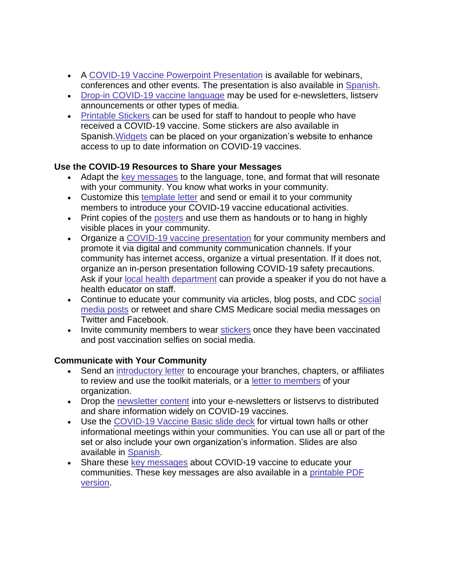- A [COVID-19 Vaccine Powerpoint Presentation](https://lnks.gd/l/eyJhbGciOiJIUzI1NiJ9.eyJidWxsZXRpbl9saW5rX2lkIjoxMjMsInVyaSI6ImJwMjpjbGljayIsImJ1bGxldGluX2lkIjoiMjAyMTAzMDEuMzYxMTcwMzEiLCJ1cmwiOiJodHRwczovL3d3dy5jZGMuZ292L2Nvcm9uYXZpcnVzLzIwMTktbmNvdi9kb3dubG9hZHMvdmFjY2luZXMvdG9vbGtpdHMvQ0RDLUNCTy1Xb3JrZXItUFBUX0QucHB0eCJ9.v1wLsC4-W_y4YPJucRhcn63yZo2FS5TQG2T4qZehMxY/s/1086872215/br/98479374872-l) is available for webinars, conferences and other events. The presentation is also available in [Spanish.](https://lnks.gd/l/eyJhbGciOiJIUzI1NiJ9.eyJidWxsZXRpbl9saW5rX2lkIjoxMjQsInVyaSI6ImJwMjpjbGljayIsImJ1bGxldGluX2lkIjoiMjAyMTAzMDEuMzYxMTcwMzEiLCJ1cmwiOiJodHRwczovL3d3dy5jZGMuZ292L2Nvcm9uYXZpcnVzLzIwMTktbmNvdi9kb3dubG9hZHMvdmFjY2luZXMvdG9vbGtpdHMvQ0RDLUNPVklEMTktVmFjY2luZS1QUFRfRF9GSU5BTC01MDhfU1BBTklTSC5wcHR4In0.F7cEsiEYJGo8Xj1JSuPRq1QipKpae0dR3X1Ty7ljWcA/s/1086872215/br/98479374872-l)
- [Drop-in COVID-19 vaccine language](https://lnks.gd/l/eyJhbGciOiJIUzI1NiJ9.eyJidWxsZXRpbl9saW5rX2lkIjoxMjUsInVyaSI6ImJwMjpjbGljayIsImJ1bGxldGluX2lkIjoiMjAyMTAzMDEuMzYxMTcwMzEiLCJ1cmwiOiJodHRwczovL3d3dy5jZGMuZ292L2Nvcm9uYXZpcnVzLzIwMTktbmNvdi92YWNjaW5lcy90b29sa2l0cy9jYm8tbmV3c2xldHRlcnMuaHRtbCNuZXdzbGV0dGVyIn0.JXq_jdAUl719hF2gNe9iA-aNVCA0R_ZjvSryB2SDilM/s/1086872215/br/98479374872-l) may be used for e-newsletters, listserv announcements or other types of media.
- [Printable Stickers](https://lnks.gd/l/eyJhbGciOiJIUzI1NiJ9.eyJidWxsZXRpbl9saW5rX2lkIjoxMjYsInVyaSI6ImJwMjpjbGljayIsImJ1bGxldGluX2lkIjoiMjAyMTAzMDEuMzYxMTcwMzEiLCJ1cmwiOiJodHRwczovL3d3dy5jZGMuZ292L2Nvcm9uYXZpcnVzLzIwMTktbmNvdi9jb21tdW5pY2F0aW9uL3ByaW50LXJlc291cmNlcy5odG1sP1NvcnQ9RGF0ZSUzQSUzQWRlc2MmU2VhcmNoPXN0aWNrZXImQXVkaWVuY2U9R2VuZXJhbCUyMFB1YmxpYyZUb3BpY3M9VmFjY2luZXMifQ.b9E8HBhaODIqERe_-L5BXZi0NITxZfZ5JEk3ZMvkces/s/1086872215/br/98479374872-l) can be used for staff to handout to people who have received a COVID-19 vaccine. Some stickers are also available in Spanish[.Widgets](https://lnks.gd/l/eyJhbGciOiJIUzI1NiJ9.eyJidWxsZXRpbl9saW5rX2lkIjoxMjcsInVyaSI6ImJwMjpjbGljayIsImJ1bGxldGluX2lkIjoiMjAyMTAzMDEuMzYxMTcwMzEiLCJ1cmwiOiJodHRwczovL3d3dy5jZGMuZ292L2Nvcm9uYXZpcnVzLzIwMTktbmNvdi92YWNjaW5lcy90b29sa2l0cy9jb21tdW5pdHktb3JnYW5pemF0aW9uLmh0bWwjYW5jaG9yXzE2MTI3OTI3NTE1MzEifQ.VuWjXtL9Bmdt0f7hP20afA_T9KcWMM08K0gwflP_WJM/s/1086872215/br/98479374872-l) can be placed on your organization's website to enhance access to up to date information on COVID-19 vaccines.

## **Use the COVID-19 Resources to Share your Messages**

- Adapt the [key messages](https://lnks.gd/l/eyJhbGciOiJIUzI1NiJ9.eyJidWxsZXRpbl9saW5rX2lkIjoxMjgsInVyaSI6ImJwMjpjbGljayIsImJ1bGxldGluX2lkIjoiMjAyMTAzMDEuMzYxMTcwMzEiLCJ1cmwiOiJodHRwczovL3d3dy5jZGMuZ292L2Nvcm9uYXZpcnVzLzIwMTktbmNvdi92YWNjaW5lcy9rZXl0aGluZ3N0b2tub3cuaHRtbCJ9.FLVmOqF8AWiA5VK3nhn35QcZXt7Zcd5kwoGPrCX4dOs/s/1086872215/br/98479374872-l) to the language, tone, and format that will resonate with your community. You know what works in your community.
- Customize this [template letter](https://lnks.gd/l/eyJhbGciOiJIUzI1NiJ9.eyJidWxsZXRpbl9saW5rX2lkIjoxMjksInVyaSI6ImJwMjpjbGljayIsImJ1bGxldGluX2lkIjoiMjAyMTAzMDEuMzYxMTcwMzEiLCJ1cmwiOiJodHRwczovL3d3dy5jZGMuZ292L2Nvcm9uYXZpcnVzLzIwMTktbmNvdi92YWNjaW5lcy90b29sa2l0cy9jYm8tbmV3c2xldHRlcnMuaHRtbCNtZW1iZXJzJUUyJTgwJThCIn0.IiXFcG2S0oB7OabEskJvkEiVDuXcgQWKuKDe_6pOGO0/s/1086872215/br/98479374872-l) and send or email it to your community members to introduce your COVID-19 vaccine educational activities.
- Print copies of the [posters](https://lnks.gd/l/eyJhbGciOiJIUzI1NiJ9.eyJidWxsZXRpbl9saW5rX2lkIjoxMzAsInVyaSI6ImJwMjpjbGljayIsImJ1bGxldGluX2lkIjoiMjAyMTAzMDEuMzYxMTcwMzEiLCJ1cmwiOiJodHRwczovL3d3dy5jZGMuZ292L2Nvcm9uYXZpcnVzLzIwMTktbmNvdi9jb21tdW5pY2F0aW9uL3ByaW50LXJlc291cmNlcy5odG1sP1NvcnQ9RGF0ZSUzQSUzQWRlc2MmQXVkaWVuY2U9R2VuZXJhbCUyMFB1YmxpYyUyMCUzRSUyMEVtcGxveWVycyUyQyUyMEJ1c2luZXNzJTIwT3duZXJzJTIwJTI2JTIwQ29tbXVuaXR5JTIwTGVhZGVycyZUb3BpY3M9VmFjY2luZXMifQ.oC5q4CaeupwXnuZkLZPCV1fBCrlP0woKNtT5oFlUTQU/s/1086872215/br/98479374872-l) and use them as handouts or to hang in highly visible places in your community.
- Organize a [COVID-19 vaccine presentation](https://lnks.gd/l/eyJhbGciOiJIUzI1NiJ9.eyJidWxsZXRpbl9saW5rX2lkIjoxMzEsInVyaSI6ImJwMjpjbGljayIsImJ1bGxldGluX2lkIjoiMjAyMTAzMDEuMzYxMTcwMzEiLCJ1cmwiOiJodHRwczovL3d3dy5jZGMuZ292L2Nvcm9uYXZpcnVzLzIwMTktbmNvdi9kb3dubG9hZHMvdmFjY2luZXMvdG9vbGtpdHMvQ0RDLUNCTy1Xb3JrZXItUFBUX0QucHB0eCJ9.Dc3Yc29gBzovFjUZ_KyJXdqHhYZc0UAhO-tEVUCQ1oE/s/1086872215/br/98479374872-l) for your community members and promote it via digital and community communication channels. If your community has internet access, organize a virtual presentation. If it does not, organize an in-person presentation following COVID-19 safety precautions. Ask if your [local health department](https://lnks.gd/l/eyJhbGciOiJIUzI1NiJ9.eyJidWxsZXRpbl9saW5rX2lkIjoxMzIsInVyaSI6ImJwMjpjbGljayIsImJ1bGxldGluX2lkIjoiMjAyMTAzMDEuMzYxMTcwMzEiLCJ1cmwiOiJodHRwczovL3d3dy5jZGMuZ292L3B1YmxpY2hlYWx0aGdhdGV3YXkvaGVhbHRoZGlyZWN0b3JpZXMvaW5kZXguaHRtbCJ9.b1r_GnMX_BxtoFLiSwkoHHFtfVX4Kja6i6M_GYhiqPs/s/1086872215/br/98479374872-l) can provide a speaker if you do not have a health educator on staff.
- Continue to educate your community via articles, blog posts, and CDC [social](https://lnks.gd/l/eyJhbGciOiJIUzI1NiJ9.eyJidWxsZXRpbl9saW5rX2lkIjoxMzMsInVyaSI6ImJwMjpjbGljayIsImJ1bGxldGluX2lkIjoiMjAyMTAzMDEuMzYxMTcwMzEiLCJ1cmwiOiJodHRwczovL3d3dy5jZGMuZ292L2Nvcm9uYXZpcnVzLzIwMTktbmNvdi92YWNjaW5lcy90b29sa2l0cy9jb21tdW5pdHktb3JnYW5pemF0aW9uLmh0bWwjYW5jaG9yXzE2MTI3OTUwOTk1NzEifQ.S4a8jgRiyPm78WT-NSJO-1fQjbA28IvT26Er43BPpmE/s/1086872215/br/98479374872-l)  [media posts](https://lnks.gd/l/eyJhbGciOiJIUzI1NiJ9.eyJidWxsZXRpbl9saW5rX2lkIjoxMzMsInVyaSI6ImJwMjpjbGljayIsImJ1bGxldGluX2lkIjoiMjAyMTAzMDEuMzYxMTcwMzEiLCJ1cmwiOiJodHRwczovL3d3dy5jZGMuZ292L2Nvcm9uYXZpcnVzLzIwMTktbmNvdi92YWNjaW5lcy90b29sa2l0cy9jb21tdW5pdHktb3JnYW5pemF0aW9uLmh0bWwjYW5jaG9yXzE2MTI3OTUwOTk1NzEifQ.S4a8jgRiyPm78WT-NSJO-1fQjbA28IvT26Er43BPpmE/s/1086872215/br/98479374872-l) or retweet and share CMS Medicare social media messages on Twitter and Facebook.
- Invite community members to wear [stickers](https://lnks.gd/l/eyJhbGciOiJIUzI1NiJ9.eyJidWxsZXRpbl9saW5rX2lkIjoxMzQsInVyaSI6ImJwMjpjbGljayIsImJ1bGxldGluX2lkIjoiMjAyMTAzMDEuMzYxMTcwMzEiLCJ1cmwiOiJodHRwczovL3d3dy5jZGMuZ292L2Nvcm9uYXZpcnVzLzIwMTktbmNvdi9jb21tdW5pY2F0aW9uL3ByaW50LXJlc291cmNlcy5odG1sP1NvcnQ9RGF0ZSUzQSUzQWRlc2MmU2VhcmNoPXN0aWNrZXImVG9waWNzPVZhY2NpbmVzIn0.tGW68HsflGH12vKe5CpCEZUyftxTkT2FtLfh4IyOXw8/s/1086872215/br/98479374872-l) once they have been vaccinated and post vaccination selfies on social media.

## **Communicate with Your Community**

- Send an [introductory letter](https://lnks.gd/l/eyJhbGciOiJIUzI1NiJ9.eyJidWxsZXRpbl9saW5rX2lkIjoxMzUsInVyaSI6ImJwMjpjbGljayIsImJ1bGxldGluX2lkIjoiMjAyMTAzMDEuMzYxMTcwMzEiLCJ1cmwiOiJodHRwczovL3d3dy5jZGMuZ292L2Nvcm9uYXZpcnVzLzIwMTktbmNvdi92YWNjaW5lcy90b29sa2l0cy9jYm8tbmV3c2xldHRlcnMuaHRtbCNpbnRybyJ9.7YS-c8WWog6L2xwU5Gt2SXGvFxvO9F7Y_k99kXQLlyM/s/1086872215/br/98479374872-l) to encourage your branches, chapters, or affiliates to review and use the toolkit materials, or a [letter to members](https://lnks.gd/l/eyJhbGciOiJIUzI1NiJ9.eyJidWxsZXRpbl9saW5rX2lkIjoxMzYsInVyaSI6ImJwMjpjbGljayIsImJ1bGxldGluX2lkIjoiMjAyMTAzMDEuMzYxMTcwMzEiLCJ1cmwiOiJodHRwczovL3d3dy5jZGMuZ292L2Nvcm9uYXZpcnVzLzIwMTktbmNvdi92YWNjaW5lcy90b29sa2l0cy9jYm8tbmV3c2xldHRlcnMuaHRtbCNtZW1iZXJzIn0.LrgEQbmJY1dki8fPPWxUlU_DdlFzPTQEw6CI31dN5rM/s/1086872215/br/98479374872-l) of your organization.
- Drop the [newsletter content](https://lnks.gd/l/eyJhbGciOiJIUzI1NiJ9.eyJidWxsZXRpbl9saW5rX2lkIjoxMzcsInVyaSI6ImJwMjpjbGljayIsImJ1bGxldGluX2lkIjoiMjAyMTAzMDEuMzYxMTcwMzEiLCJ1cmwiOiJodHRwczovL3d3dy5jZGMuZ292L2Nvcm9uYXZpcnVzLzIwMTktbmNvdi92YWNjaW5lcy90b29sa2l0cy9jYm8tbmV3c2xldHRlcnMuaHRtbCNuZXdzbGV0dGVyIn0.Xw-kdH2CDMKj_Dxbzf1QEeiosLui_6QS0dNeFM_eLSU/s/1086872215/br/98479374872-l) into your e-newsletters or listservs to distributed and share information widely on COVID-19 vaccines.
- Use the [COVID-19 Vaccine Basic slide deck](https://lnks.gd/l/eyJhbGciOiJIUzI1NiJ9.eyJidWxsZXRpbl9saW5rX2lkIjoxMzgsInVyaSI6ImJwMjpjbGljayIsImJ1bGxldGluX2lkIjoiMjAyMTAzMDEuMzYxMTcwMzEiLCJ1cmwiOiJodHRwczovL3d3dy5jZGMuZ292L2Nvcm9uYXZpcnVzLzIwMTktbmNvdi9kb3dubG9hZHMvdmFjY2luZXMvdG9vbGtpdHMvQ0RDLUNCTy1Xb3JrZXItUFBUX0QucHB0eCJ9.45jyWiptzdrwr0a7FER_sOu9FdbkxWeDlbhWIEde350/s/1086872215/br/98479374872-l) for virtual town halls or other informational meetings within your communities. You can use all or part of the set or also include your own organization's information. Slides are also available in [Spanish.](https://lnks.gd/l/eyJhbGciOiJIUzI1NiJ9.eyJidWxsZXRpbl9saW5rX2lkIjoxMzksInVyaSI6ImJwMjpjbGljayIsImJ1bGxldGluX2lkIjoiMjAyMTAzMDEuMzYxMTcwMzEiLCJ1cmwiOiJodHRwczovL3d3dy5jZGMuZ292L2Nvcm9uYXZpcnVzLzIwMTktbmNvdi9kb3dubG9hZHMvdmFjY2luZXMvdG9vbGtpdHMvQ0RDLUNPVklEMTktVmFjY2luZS1QUFRfRF9GSU5BTC01MDhfU1BBTklTSC5wcHR4In0.QwQRBV4-TKpNGwlLLkwZ15Zf0EJ9zVqGjpvUTtW-02k/s/1086872215/br/98479374872-l)
- Share these [key messages](https://lnks.gd/l/eyJhbGciOiJIUzI1NiJ9.eyJidWxsZXRpbl9saW5rX2lkIjoxNDAsInVyaSI6ImJwMjpjbGljayIsImJ1bGxldGluX2lkIjoiMjAyMTAzMDEuMzYxMTcwMzEiLCJ1cmwiOiJodHRwczovL3d3dy5jZGMuZ292L2Nvcm9uYXZpcnVzLzIwMTktbmNvdi92YWNjaW5lcy9rZXl0aGluZ3N0b2tub3cuaHRtbCJ9.B52NsLK_-H_6XyKxed2NPen8rkmbrR7CkOOVhQ_1CBM/s/1086872215/br/98479374872-l) about COVID-19 vaccine to educate your communities. These key messages are also available in a [printable PDF](https://lnks.gd/l/eyJhbGciOiJIUzI1NiJ9.eyJidWxsZXRpbl9saW5rX2lkIjoxNDEsInVyaSI6ImJwMjpjbGljayIsImJ1bGxldGluX2lkIjoiMjAyMTAzMDEuMzYxMTcwMzEiLCJ1cmwiOiJodHRwczovL3d3dy5jZGMuZ292L2Nvcm9uYXZpcnVzLzIwMTktbmNvdi9kb3dubG9hZHMvdmFjY2luZXMvdG9vbGtpdHMvS2V5LU1lc3NhZ2VzLUNCT3MtYW5kLUVzc2VudGlhbC1Xb3JrZXJzLnBkZiJ9.dwpy4WIEitdKR7MaU3Pmbeblh9Xi6D2TOEvt3j7LiLE/s/1086872215/br/98479374872-l)  [version.](https://lnks.gd/l/eyJhbGciOiJIUzI1NiJ9.eyJidWxsZXRpbl9saW5rX2lkIjoxNDEsInVyaSI6ImJwMjpjbGljayIsImJ1bGxldGluX2lkIjoiMjAyMTAzMDEuMzYxMTcwMzEiLCJ1cmwiOiJodHRwczovL3d3dy5jZGMuZ292L2Nvcm9uYXZpcnVzLzIwMTktbmNvdi9kb3dubG9hZHMvdmFjY2luZXMvdG9vbGtpdHMvS2V5LU1lc3NhZ2VzLUNCT3MtYW5kLUVzc2VudGlhbC1Xb3JrZXJzLnBkZiJ9.dwpy4WIEitdKR7MaU3Pmbeblh9Xi6D2TOEvt3j7LiLE/s/1086872215/br/98479374872-l)